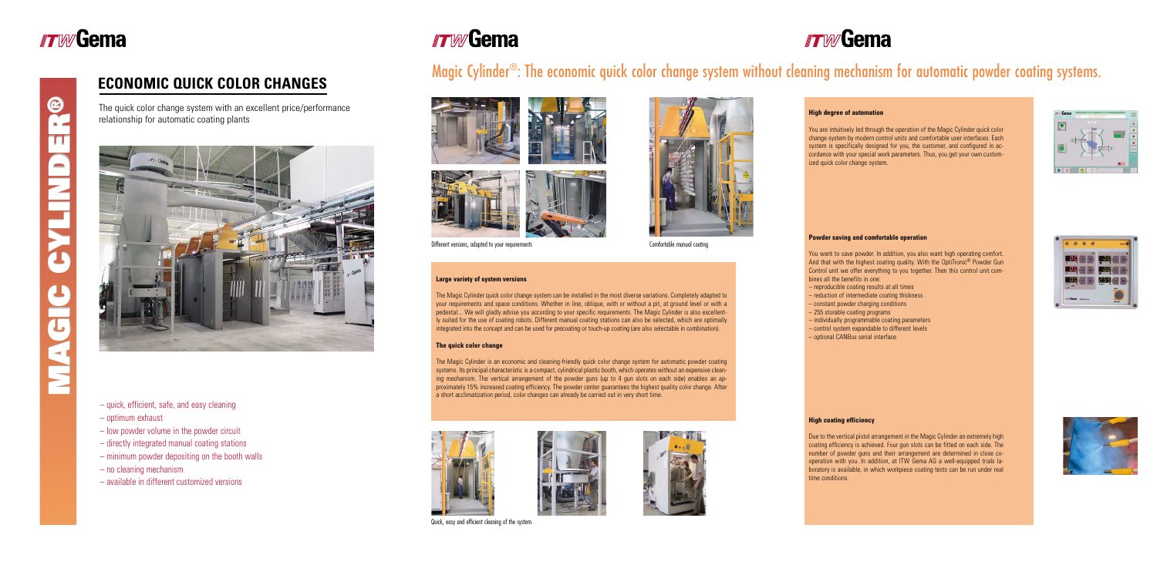## **ECONOMIC QUICK COLOR CHANGES**

- quick, efficient, safe, and easy cleaning
- optimum exhaust
- low powder volume in the powder circuit
- directly integrated manual coating stations
- minimum powder depositing on the booth walls
- no cleaning mechanism
- available in different customized versions

# *FTW* Gema

The quick color change system with an excellent price/performance relationship for automatic coating plants



### **Large variety of system versions**

The Magic Cylinder quick color change system can be installed in the most diverse variations. Completely adapted to your requirements and space conditions. Whether in line, oblique, with or without a pit, at ground level or with a pedestal... We will gladly advise you according to your specific requirements. The Magic Cylinder is also excellently suited for the use of coating robots. Different manual coating stations can also be selected, which are optimally integrated into the concept and can be used for precoating or touch-up coating (are also selectable in combination).

### **The quick color change**

The Magic Cylinder is an economic and cleaning-friendly quick color change system for automatic powder coating systems. Its principal characteristic is a compact, cylindrical plastic booth, which operates without an expensive cleaning mechanism. The vertical arrangement of the powder guns (up to 4 gun slots on each side) enables an approximately 15% increased coating efficiency. The powder center guarantees the highest quality color change. After a short acclimatization period, color changes can already be carried out in very short time.



# Magic Cylinder®: The economic quick color change system without cleaning mechanism for automatic powder coating systems.



Different versions, adapted to your requirements Comfortable manual coating



Quick, easy and efficient cleaning of the system

# **TWGema**





#### **High degree of automation**

You are intuitively led through the operation of the Magic Cylinder quick color change system by modern control units and comfortable user interfaces. Each system is specifically designed for you, the customer, and configured in accordance with your special work parameters. Thus, you get your own customized quick color change system.





#### **Powder saving and comfortable operation**

You want to save powder. In addition, you also want high operating comfort. And that with the highest coating quality. With the OptiTronic<sup>®</sup> Powder Gun Control unit we offer everything to you together. Then this control unit combines all the benefits in one:

- reproducible coating results at all times
- reduction of intermediate coating thickness
- constant powder charging conditions
- 255 storable coating programs
- individually programmable coating parameters
- control system expandable to different levels
- optional CANBus serial interface

#### **High coating efficiency**

Due to the vertical pistol arrangement in the Magic Cylinder an extremely high coating efficiency is achieved. Four gun slots can be fitted on each side. The number of powder guns and their arrangement are determined in close cooperation with you. In addition, at ITW Gema AG a well-equipped trials laboratory is available, in which workpiece coating tests can be run under real time conditions.



# **TWGema**